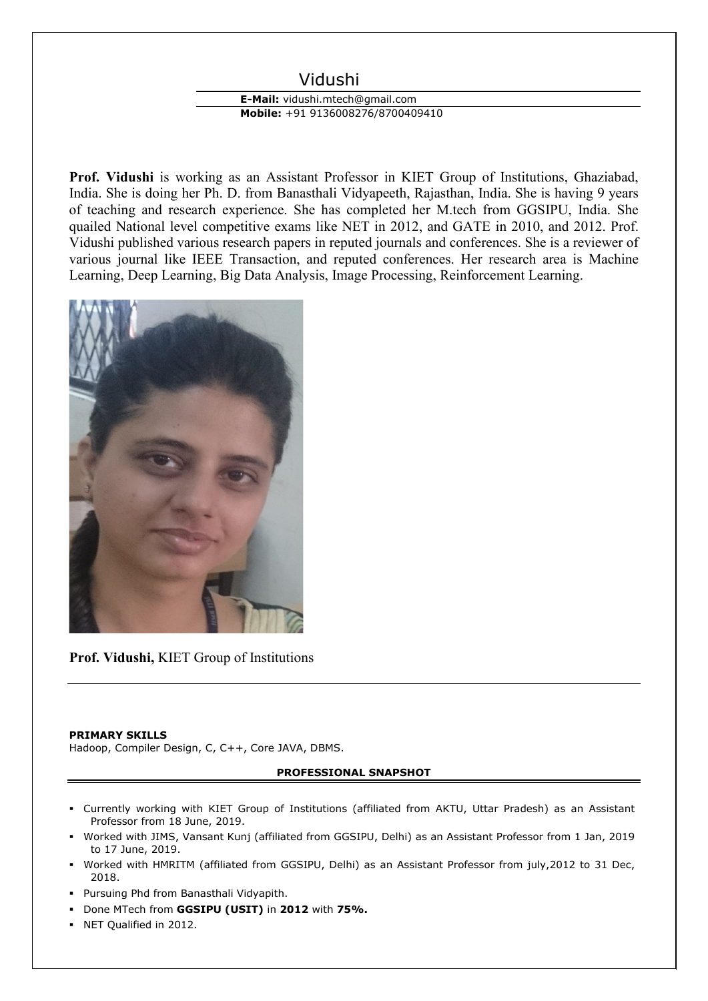# Vidushi

## **E-Mail:** vidushi.mtech@gmail.com **Mobile:** +91 9136008276/8700409410

**Prof. Vidushi** is working as an Assistant Professor in KIET Group of Institutions, Ghaziabad, India. She is doing her Ph. D. from Banasthali Vidyapeeth, Rajasthan, India. She is having 9 years of teaching and research experience. She has completed her M.tech from GGSIPU, India. She quailed National level competitive exams like NET in 2012, and GATE in 2010, and 2012. Prof. Vidushi published various research papers in reputed journals and conferences. She is a reviewer of various journal like IEEE Transaction, and reputed conferences. Her research area is Machine Learning, Deep Learning, Big Data Analysis, Image Processing, Reinforcement Learning.



**Prof. Vidushi,** KIET Group of Institutions

#### **PRIMARY SKILLS**

Hadoop, Compiler Design, C, C++, Core JAVA, DBMS.

### **PROFESSIONAL SNAPSHOT**

- Currently working with KIET Group of Institutions (affiliated from AKTU, Uttar Pradesh) as an Assistant Professor from 18 June, 2019.
- Worked with JIMS, Vansant Kunj (affiliated from GGSIPU, Delhi) as an Assistant Professor from 1 Jan, 2019 to 17 June, 2019.
- Worked with HMRITM (affiliated from GGSIPU, Delhi) as an Assistant Professor from july,2012 to 31 Dec, 2018.
- Pursuing Phd from Banasthali Vidyapith.
- Done MTech from **GGSIPU (USIT)** in **2012** with **75%.**
- NET Qualified in 2012.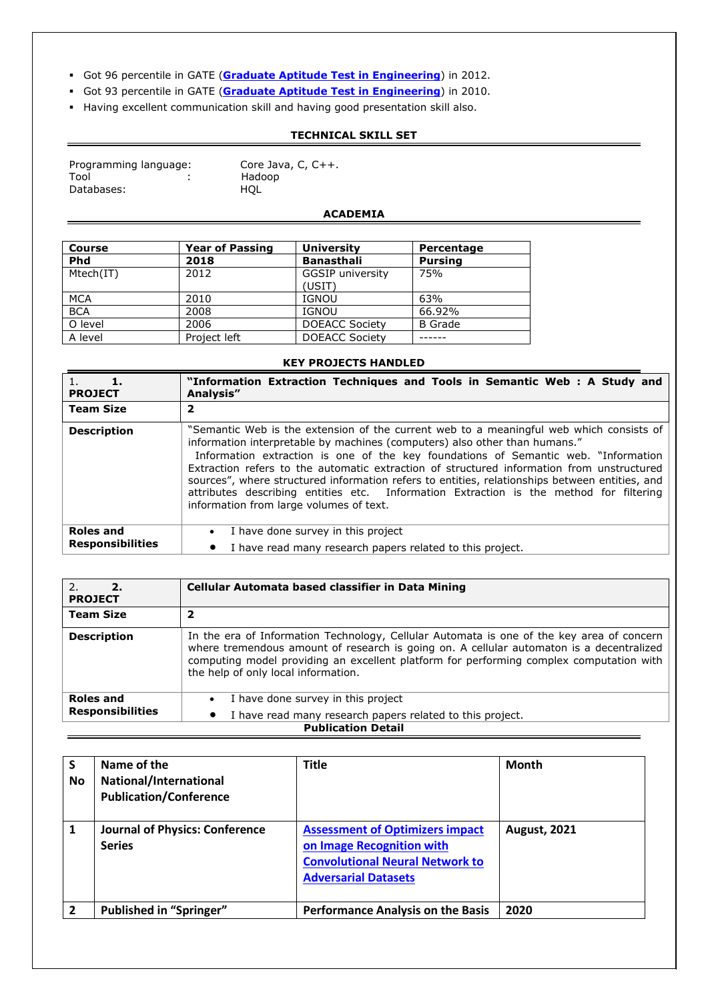- Got 96 percentile in GATE (**[Graduate Aptitude Test in Engineering](http://www.iitk.ac.in/gate/)**) in 2012.
- Got 93 percentile in GATE (**[Graduate Aptitude Test in Engineering](http://www.iitk.ac.in/gate/)**) in 2010.
- Having excellent communication skill and having good presentation skill also.

### **TECHNICAL SKILL SET**

| Programming language: |  |
|-----------------------|--|
| Tool                  |  |
| Databases:            |  |

Core Java, C,  $C++$ . Hadoop HQL

### **ACADEMIA**

| <b>Course</b> | <b>Year of Passing</b> | <b>University</b>                 | Percentage     |
|---------------|------------------------|-----------------------------------|----------------|
| <b>Phd</b>    | 2018                   | <b>Banasthali</b>                 | <b>Pursing</b> |
| Mtech(IT)     | 2012                   | <b>GGSIP</b> university<br>(USIT) | 75%            |
| <b>MCA</b>    | 2010                   | <b>IGNOU</b>                      | 63%            |
| <b>BCA</b>    | 2008                   | <b>IGNOU</b>                      | 66.92%         |
| O level       | 2006                   | <b>DOEACC Society</b>             | <b>B</b> Grade |
| A level       | Project left           | <b>DOEACC Society</b>             |                |

#### **KEY PROJECTS HANDLED**

| 1.<br><b>PROJECT</b>                        | "Information Extraction Techniques and Tools in Semantic Web : A Study and<br>Analysis"                                                                                                                                                                                                                                                                                                                                                                                                                                                                                                         |
|---------------------------------------------|-------------------------------------------------------------------------------------------------------------------------------------------------------------------------------------------------------------------------------------------------------------------------------------------------------------------------------------------------------------------------------------------------------------------------------------------------------------------------------------------------------------------------------------------------------------------------------------------------|
| <b>Team Size</b>                            | 2                                                                                                                                                                                                                                                                                                                                                                                                                                                                                                                                                                                               |
| <b>Description</b>                          | "Semantic Web is the extension of the current web to a meaningful web which consists of<br>information interpretable by machines (computers) also other than humans."<br>Information extraction is one of the key foundations of Semantic web. "Information<br>Extraction refers to the automatic extraction of structured information from unstructured<br>sources", where structured information refers to entities, relationships between entities, and<br>attributes describing entities etc. Information Extraction is the method for filtering<br>information from large volumes of text. |
| <b>Roles and</b><br><b>Responsibilities</b> | I have done survey in this project<br>$\bullet$<br>I have read many research papers related to this project.<br>$\bullet$                                                                                                                                                                                                                                                                                                                                                                                                                                                                       |

| 2.<br>2.<br><b>PROJECT</b> | Cellular Automata based classifier in Data Mining                                                                                                                                                                                                                                                                       |  |
|----------------------------|-------------------------------------------------------------------------------------------------------------------------------------------------------------------------------------------------------------------------------------------------------------------------------------------------------------------------|--|
| <b>Team Size</b>           |                                                                                                                                                                                                                                                                                                                         |  |
| <b>Description</b>         | In the era of Information Technology, Cellular Automata is one of the key area of concern<br>where tremendous amount of research is going on. A cellular automaton is a decentralized<br>computing model providing an excellent platform for performing complex computation with<br>the help of only local information. |  |
| <b>Roles and</b>           | I have done survey in this project<br>$\bullet$                                                                                                                                                                                                                                                                         |  |
| <b>Responsibilities</b>    | I have read many research papers related to this project.<br>$\bullet$                                                                                                                                                                                                                                                  |  |
| <b>Publication Detail</b>  |                                                                                                                                                                                                                                                                                                                         |  |

| <b>S</b><br><b>No</b> | Name of the<br>National/International<br><b>Publication/Conference</b> | <b>Title</b>                                                                                                                                 | <b>Month</b>        |
|-----------------------|------------------------------------------------------------------------|----------------------------------------------------------------------------------------------------------------------------------------------|---------------------|
| 1                     | <b>Journal of Physics: Conference</b><br><b>Series</b>                 | <b>Assessment of Optimizers impact</b><br>on Image Recognition with<br><b>Convolutional Neural Network to</b><br><b>Adversarial Datasets</b> | <b>August, 2021</b> |
| $\overline{2}$        | <b>Published in "Springer"</b>                                         | <b>Performance Analysis on the Basis</b>                                                                                                     | 2020                |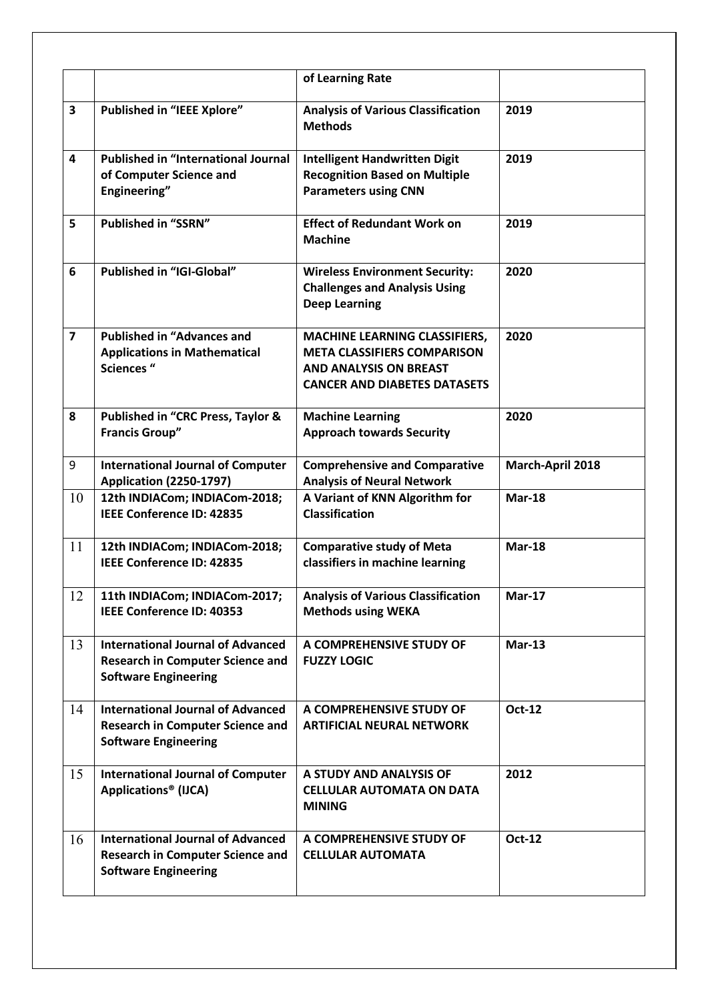|                                                                                                                    | of Learning Rate                                                                                                                                   |                  |
|--------------------------------------------------------------------------------------------------------------------|----------------------------------------------------------------------------------------------------------------------------------------------------|------------------|
| <b>Published in "IEEE Xplore"</b>                                                                                  | <b>Analysis of Various Classification</b><br><b>Methods</b>                                                                                        | 2019             |
| <b>Published in "International Journal</b><br>of Computer Science and<br>Engineering"                              | <b>Intelligent Handwritten Digit</b><br><b>Recognition Based on Multiple</b><br><b>Parameters using CNN</b>                                        | 2019             |
| <b>Published in "SSRN"</b>                                                                                         | <b>Effect of Redundant Work on</b><br><b>Machine</b>                                                                                               | 2019             |
| Published in "IGI-Global"                                                                                          | <b>Wireless Environment Security:</b><br><b>Challenges and Analysis Using</b><br><b>Deep Learning</b>                                              | 2020             |
| <b>Published in "Advances and</b><br><b>Applications in Mathematical</b><br><b>Sciences</b> "                      | <b>MACHINE LEARNING CLASSIFIERS,</b><br><b>META CLASSIFIERS COMPARISON</b><br><b>AND ANALYSIS ON BREAST</b><br><b>CANCER AND DIABETES DATASETS</b> | 2020             |
| Published in "CRC Press, Taylor &<br><b>Francis Group"</b>                                                         | <b>Machine Learning</b><br><b>Approach towards Security</b>                                                                                        | 2020             |
| <b>International Journal of Computer</b><br><b>Application (2250-1797)</b>                                         | <b>Comprehensive and Comparative</b><br><b>Analysis of Neural Network</b>                                                                          | March-April 2018 |
| 12th INDIACom; INDIACom-2018;<br><b>IEEE Conference ID: 42835</b>                                                  | A Variant of KNN Algorithm for<br><b>Classification</b>                                                                                            | $Mar-18$         |
| 12th INDIACom; INDIACom-2018;<br><b>IEEE Conference ID: 42835</b>                                                  | <b>Comparative study of Meta</b><br>classifiers in machine learning                                                                                | $Mar-18$         |
| 11th INDIACom; INDIACom-2017;<br><b>IEEE Conference ID: 40353</b>                                                  | <b>Analysis of Various Classification</b><br><b>Methods using WEKA</b>                                                                             | <b>Mar-17</b>    |
| <b>International Journal of Advanced</b><br><b>Research in Computer Science and</b><br><b>Software Engineering</b> | A COMPREHENSIVE STUDY OF<br><b>FUZZY LOGIC</b>                                                                                                     | $Mar-13$         |
| <b>International Journal of Advanced</b><br><b>Research in Computer Science and</b><br><b>Software Engineering</b> | A COMPREHENSIVE STUDY OF<br><b>ARTIFICIAL NEURAL NETWORK</b>                                                                                       | Oct-12           |
| <b>International Journal of Computer</b><br>Applications <sup>®</sup> (IJCA)                                       | A STUDY AND ANALYSIS OF<br><b>CELLULAR AUTOMATA ON DATA</b><br><b>MINING</b>                                                                       | 2012             |
| <b>International Journal of Advanced</b><br><b>Research in Computer Science and</b><br><b>Software Engineering</b> | A COMPREHENSIVE STUDY OF<br><b>CELLULAR AUTOMATA</b>                                                                                               | Oct-12           |
|                                                                                                                    |                                                                                                                                                    |                  |